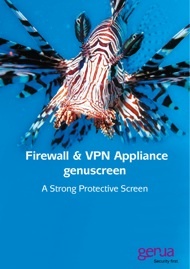**Firewall & VPN Appliance genuscreen**

A Strong Protective Screen

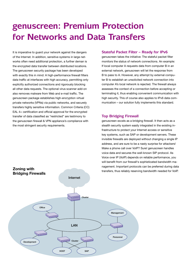# **genuscreen: Premium Protection for Networks and Data Transfers**

It is imperative to guard your network against the dangers of the Internet. In addition, sensitive systems in large networks often need additional protection, a further deman is the encrypted data transfer between distributed locations. The genuscreen security package has been developed with exactly this in mind: A high-performance firewall filters data traffic at interfaces with high accuracy, permitting only explicitly authorized connections and rigorously blocking all other data requests. The optional virus scanner add-on also removes malware from Web and e-mail traffic. The genuscreen package establishes high-encryption virtual private networks (VPNs) via public networks, and securely transfers highly sensitive information. Common Criteria (CC) EAL 4+ certification and official approval for the encrypted transfer of data classified as "restricted" are testimony to the genuscreen firewall & VPN appliance's compliance with the most stringent security requirements.

#### **Stateful Packet Filter – Ready for IPv6**

genuscreen takes the initiative: The stateful packet filter monitors the status of network connections. An example: If local computer A requests data from computer B in an external network, genuscreen will let the response from B to pass to A. However, any attempt by external computer B to establish an unsolicited network connection into computer A's local network is rejected. The firewall always assesses the context of a connection before accepting or terminating it, thus enabling convenient communication with high security. This of course also applies to IPv6 data communication - our solution fully implements this standard.

#### **Top Bridging Firewall GeNUScreen**

genuscreen excels as a bridging firewall. It then acts as a stealth security system easily integrated in the existing infrastructure to protect your Internet access or sensitive key systems, such as SAP or development servers. These invisible firewalls are deployed without changing a single IP address, and are sure to be a nasty surprise for attackers! Make a phone call over VoIP? Sure! genuscreen handles voice data and secures the well-known SIP protocol. As Voice over IP (VoIP) depends on reliable performance, you will benefit from our firewall's sophisticated bandwidth management. Important protocols can be preferred during data transfers, thus reliably reserving bandwidth needed for VoIP. Host Sapur Sapur Sapur Sapur Sapur Sapur Sapur Sapur Sapur Sapur Sapur Sapur Sapur Sapur Sapur Sapur Sapur Sa

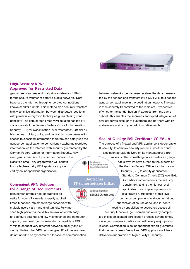

### **High-Security VPN: Approved for Restricted Data**

genuscreen can create virtual private networks (VPNs) for the secure transfer of data via public networks. Data traverses the Internet through encrypted connections known as VPN tunnels. This method also securely transfers highly sensitive information between distributed locations, with powerful encryption techniques guaranteeing confidentiality. The genuscreen IPsec VPN solution has the official approval of the German Federal Office for Information Security (BSI) for classification level "restricted". Official public bodies, military units, and contracting companies with access to classified information therefore can safely use the genuscreen application to conveniently exchange restricted information via the Internet, with security guaranteed by the German Federal Office for Information Security. However, genuscreen is not just for companies in the

classified area – any organization will benefit from a high-security VPN appliance approved by an independent organization.

## **Convenient VPN Solution for a Range of Requirements**

genuscreen offers a host of practical benefits for your VPN needs: expertly applied IPsec functions implement large networks with multiple users via a handful of tunnels. Fully meshed high-performance VPNs are available with easyto-configure settings and low maintenance and computer capacity overhead. genuscreen also is capable of SSH

VPNs to connect very different networks quickly and efficiently. Unlike other VPN technologies, IP addresses here do not need to be synchronized for secure communication between networks. genuscreen receives the data transmitted by the sender, and transfers it via SSH VPN to a second genuscreen appliance in the destination network. The data is then securely transmitted to the recipient, irrespective of whether the sender has an IP address from the same subnet. This enables the seamless encrypted integration of new corporate sites, or of customers and partners with IP addresses outside of your administrative reach.

#### **Seal of Quality: BSI Certificate CC EAL 4+**

The purpose of a firewall and VPN appliance is dependable IT security. In complex security systems, whether or not a solution actually delivers on its manufacturer's promises is often something only experts can gauge.

Bundesamt für Sicherheit in der Informationstechnik

#### **Deutsches** IT-Sicherheitszertifikat



Zertifikat Nummer: BSI-DSZ-CC-0565-2009

the German Federal Office for Information Security (BSI) to certify genuscreen. Standard Common Criteria (CC) level EAL 4+ certification represents the industry benchmark, and is the highest level applicable to a complex system such as a firewall. Certification at this level demands comprehensive documentation, submission of source code, and in-depth testing by specialists to accurately assess all

That is why we have turned to the experts of

security functions. genuscreen has already completed this sophisticated certification process several times, since genus repeats certification with every major product release. Certification is an independent expert guarantee that the genuscreen firewall and VPN appliance will truly deliver on our promise of high-quality IT security.